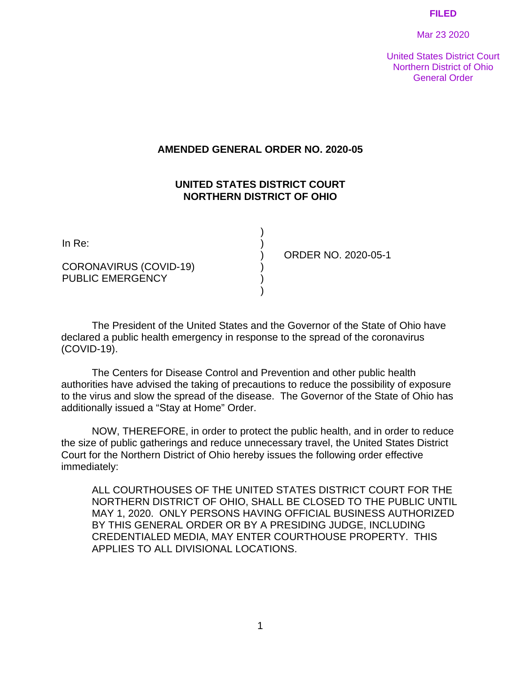#### **FILED**

Mar 23 2020

United States District Court Northern District of Ohio General Order

#### **AMENDED GENERAL ORDER NO. 2020-05**

#### **UNITED STATES DISTRICT COURT NORTHERN DISTRICT OF OHIO**

) ) ) ) ) )

CORONAVIRUS (COVID-19) PUBLIC EMERGENCY

ORDER NO. 2020-05-1

 The President of the United States and the Governor of the State of Ohio have declared a public health emergency in response to the spread of the coronavirus (COVID-19).

 The Centers for Disease Control and Prevention and other public health authorities have advised the taking of precautions to reduce the possibility of exposure to the virus and slow the spread of the disease. The Governor of the State of Ohio has additionally issued a "Stay at Home" Order.

 NOW, THEREFORE, in order to protect the public health, and in order to reduce the size of public gatherings and reduce unnecessary travel, the United States District Court for the Northern District of Ohio hereby issues the following order effective immediately:

ALL COURTHOUSES OF THE UNITED STATES DISTRICT COURT FOR THE NORTHERN DISTRICT OF OHIO, SHALL BE CLOSED TO THE PUBLIC UNTIL MAY 1, 2020. ONLY PERSONS HAVING OFFICIAL BUSINESS AUTHORIZED BY THIS GENERAL ORDER OR BY A PRESIDING JUDGE, INCLUDING CREDENTIALED MEDIA, MAY ENTER COURTHOUSE PROPERTY. THIS APPLIES TO ALL DIVISIONAL LOCATIONS.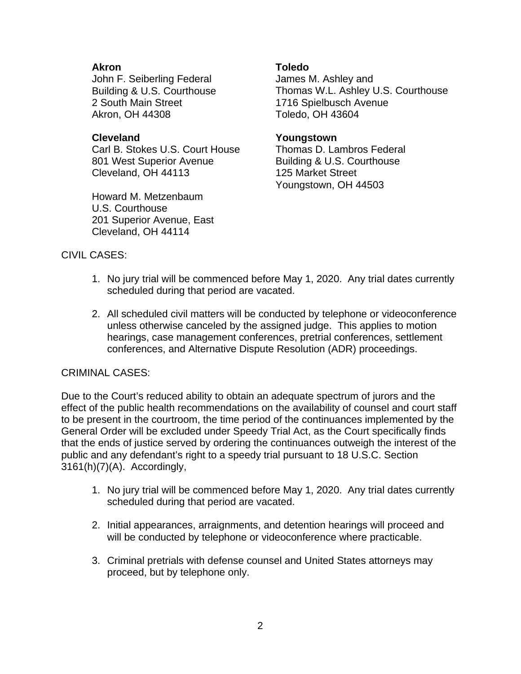## **Akron**

John F. Seiberling Federal Building & U.S. Courthouse 2 South Main Street Akron, OH 44308

### **Cleveland**

Carl B. Stokes U.S. Court House 801 West Superior Avenue Cleveland, OH 44113

Howard M. Metzenbaum U.S. Courthouse 201 Superior Avenue, East Cleveland, OH 44114

#### **Toledo**

James M. Ashley and Thomas W.L. Ashley U.S. Courthouse 1716 Spielbusch Avenue Toledo, OH 43604

### **Youngstown**

Thomas D. Lambros Federal Building & U.S. Courthouse 125 Market Street Youngstown, OH 44503

## CIVIL CASES:

- 1. No jury trial will be commenced before May 1, 2020. Any trial dates currently scheduled during that period are vacated.
- 2. All scheduled civil matters will be conducted by telephone or videoconference unless otherwise canceled by the assigned judge. This applies to motion hearings, case management conferences, pretrial conferences, settlement conferences, and Alternative Dispute Resolution (ADR) proceedings.

# CRIMINAL CASES:

Due to the Court's reduced ability to obtain an adequate spectrum of jurors and the effect of the public health recommendations on the availability of counsel and court staff to be present in the courtroom, the time period of the continuances implemented by the General Order will be excluded under Speedy Trial Act, as the Court specifically finds that the ends of justice served by ordering the continuances outweigh the interest of the public and any defendant's right to a speedy trial pursuant to 18 U.S.C. Section 3161(h)(7)(A). Accordingly,

- 1. No jury trial will be commenced before May 1, 2020. Any trial dates currently scheduled during that period are vacated.
- 2. Initial appearances, arraignments, and detention hearings will proceed and will be conducted by telephone or videoconference where practicable.
- 3. Criminal pretrials with defense counsel and United States attorneys may proceed, but by telephone only.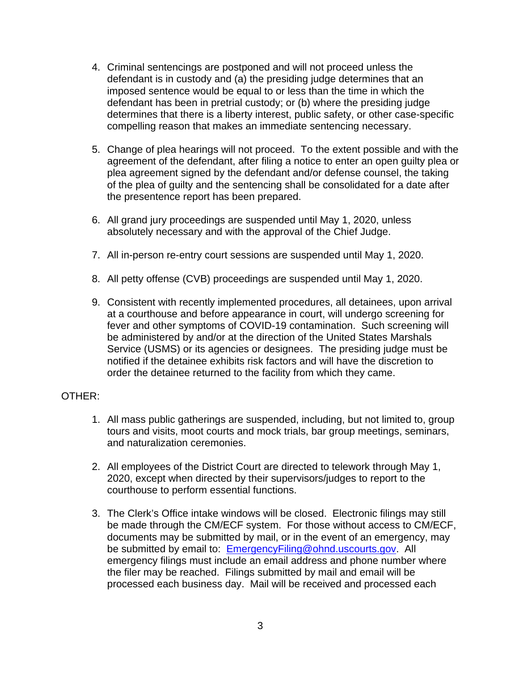- 4. Criminal sentencings are postponed and will not proceed unless the defendant is in custody and (a) the presiding judge determines that an imposed sentence would be equal to or less than the time in which the defendant has been in pretrial custody; or (b) where the presiding judge determines that there is a liberty interest, public safety, or other case-specific compelling reason that makes an immediate sentencing necessary.
- 5. Change of plea hearings will not proceed. To the extent possible and with the agreement of the defendant, after filing a notice to enter an open guilty plea or plea agreement signed by the defendant and/or defense counsel, the taking of the plea of guilty and the sentencing shall be consolidated for a date after the presentence report has been prepared.
- 6. All grand jury proceedings are suspended until May 1, 2020, unless absolutely necessary and with the approval of the Chief Judge.
- 7. All in-person re-entry court sessions are suspended until May 1, 2020.
- 8. All petty offense (CVB) proceedings are suspended until May 1, 2020.
- 9. Consistent with recently implemented procedures, all detainees, upon arrival at a courthouse and before appearance in court, will undergo screening for fever and other symptoms of COVID-19 contamination. Such screening will be administered by and/or at the direction of the United States Marshals Service (USMS) or its agencies or designees. The presiding judge must be notified if the detainee exhibits risk factors and will have the discretion to order the detainee returned to the facility from which they came.

# OTHER:

- 1. All mass public gatherings are suspended, including, but not limited to, group tours and visits, moot courts and mock trials, bar group meetings, seminars, and naturalization ceremonies.
- 2. All employees of the District Court are directed to telework through May 1, 2020, except when directed by their supervisors/judges to report to the courthouse to perform essential functions.
- 3. The Clerk's Office intake windows will be closed. Electronic filings may still be made through the CM/ECF system. For those without access to CM/ECF, documents may be submitted by mail, or in the event of an emergency, may be submitted by email to: EmergencyFiling@ohnd.uscourts.gov. All emergency filings must include an email address and phone number where the filer may be reached. Filings submitted by mail and email will be processed each business day. Mail will be received and processed each